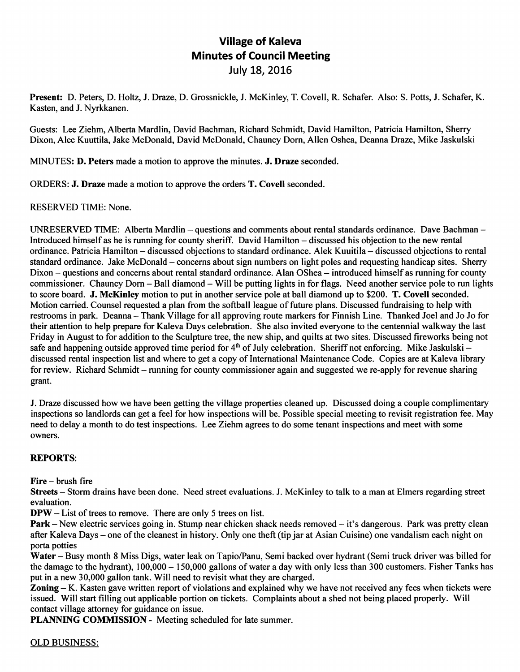## Village of Kaleva Minutes of Council Meeting July 18, 2016

Present: D. Peters, D. Holtz, J. Draze, D. Grossnickle, J. McKinley, T. Covell, R. Schafer. Also: S. Potts, J. Schafer, K. Kasten, and J. Nyrkkanen.

Guests: Lee Ziehm, Alberta Mardlin, David Bachman, Richard Schmidt, David Hamilton, Patricia Hamilton, Sherry Dixon, Alec Kuuttila, Jake McDonald, David McDonald, Chauncy Dom, Allen Oshea, Deanna Draze, Mike Jaskulski

MINUTES: D. Peters made a motion to approve the minutes. J. Draze seconded.

ORDERS: J. Draze made a motion to approve the orders T. Covell seconded.

## RESERVED TIME: None.

UNRESERVED TIME: Alberta Mardlin - questions and comments about rental standards ordinance. Dave Bachman -Introduced himself as he is running for county sheriff. David Hamilton – discussed his objection to the new rental ordinance. Patricia Hamilton - discussed objections to standard ordinance. Alek Kuuitila - discussed objections to rental standard ordinance. Jake McDonald – concerns about sign numbers on light poles and requesting handicap sites. Sherry Dixon – questions and concerns about rental standard ordinance. Alan OShea – introduced himself as running for county commissioner. Chauncy Dorn – Ball diamond – Will be putting lights in for flags. Need another service pole to run lights to score board. J. McKinley motion to put in another service pole at ball diamond up to \$200. T. Covell seconded. Motion carried. Counsel requested a plan from the softball league of future plans. Discussed fundraising to help with restrooms in park. Deanna - Thank Village for all approving route markers for Finnish Line. Thanked Joel and Jo Jo for their attention to help prepare for Kaleva Days celebration. She also invited everyone to the centennial walkway the last Friday in August to for addition to the Sculpture tree, the new ship, and quilts at two sites. Discussed fireworks being not safe and happening outside approved time period for  $4<sup>th</sup>$  of July celebration. Sheriff not enforcing. Mike Jaskulski – discussed rental inspection list and where to get a copy of International Maintenance Code. Copies are at Kaleva library for review. Richard Schmidt – running for county commissioner again and suggested we re-apply for revenue sharing grant.

J. Draze discussed how we have been getting the village properties cleaned up. Discussed doing a couple complimentary inspections so landlords can get a feel for how inspections will be. Possible special meeting to revisit registration fee. May need to delay a month to do test inspections. Lee Ziehm agrees to do some tenant inspections and meet with some owners.

## REPORTS:

Fire - brush fire

Streets - Storm drains have been done. Need street evaluations. J. McKinley to talk to a man at Elmers regarding street evaluation.

DFW - List of trees to remove. There are only 5 trees on list.

Park – New electric services going in. Stump near chicken shack needs removed – it's dangerous. Park was pretty clean after Kaleva Days – one of the cleanest in history. Only one theft (tip jar at Asian Cuisine) one vandalism each night on porta potties

Water - Busy month 8 Miss Digs, water leak on Tapio/Panu, Semi backed over hydrant (Semi truck driver was billed for the damage to the hydrant),  $100,000 - 150,000$  gallons of water a day with only less than 300 customers. Fisher Tanks has put in a new 30,000 gallon tank. Will need to revisit what they are charged.

Zoning - K. Kasten gave written report of violations and explained why we have not received any fees when tickets were issued. Will start filling out applicable portion on tickets. Complaints about a shed not being placed properly. Will contact village attorney for guidance on issue.

PLANNING COMMISSION - Meeting scheduled for late summer.

## OLD BUSINESS: